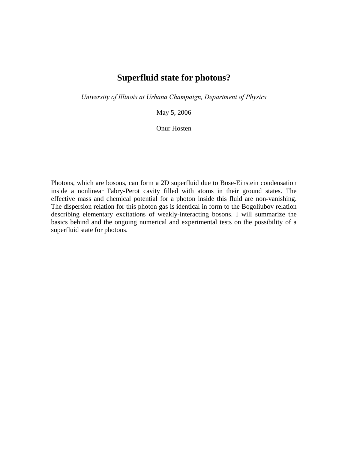# **Superfluid state for photons?**

*University of Illinois at Urbana Champaign, Department of Physics*

May 5, 2006

Onur Hosten

Photons, which are bosons, can form a 2D superfluid due to Bose-Einstein condensation inside a nonlinear Fabry-Perot cavity filled with atoms in their ground states. The effective mass and chemical potential for a photon inside this fluid are non-vanishing. The dispersion relation for this photon gas is identical in form to the Bogoliubov relation describing elementary excitations of weakly-interacting bosons. I will summarize the basics behind and the ongoing numerical and experimental tests on the possibility of a superfluid state for photons.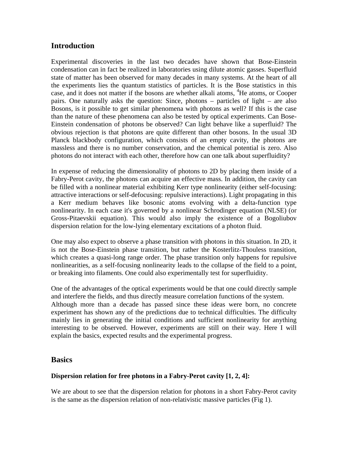## **Introduction**

Experimental discoveries in the last two decades have shown that Bose-Einstein condensation can in fact be realized in laboratories using dilute atomic gasses. Superfluid state of matter has been observed for many decades in many systems. At the heart of all the experiments lies the quantum statistics of particles. It is the Bose statistics in this case, and it does not matter if the bosons are whether alkali atoms, <sup>4</sup>He atoms, or Cooper pairs. One naturally asks the question: Since, photons – particles of light – are also Bosons, is it possible to get similar phenomena with photons as well? If this is the case than the nature of these phenomena can also be tested by optical experiments. Can Bose-Einstein condensation of photons be observed? Can light behave like a superfluid? The obvious rejection is that photons are quite different than other bosons. In the usual 3D Planck blackbody configuration, which consists of an empty cavity, the photons are massless and there is no number conservation, and the chemical potential is zero. Also photons do not interact with each other, therefore how can one talk about superfluidity?

In expense of reducing the dimensionality of photons to 2D by placing them inside of a Fabry-Perot cavity, the photons can acquire an effective mass. In addition, the cavity can be filled with a nonlinear material exhibiting Kerr type nonlinearity (either self-focusing: attractive interactions or self-defocusing: repulsive interactions). Light propagating in this a Kerr medium behaves like bosonic atoms evolving with a delta-function type nonlinearity. In each case it's governed by a nonlinear Schrodinger equation (NLSE) (or Gross-Pitaevskii equation). This would also imply the existence of a Bogoliubov dispersion relation for the low-lying elementary excitations of a photon fluid.

One may also expect to observe a phase transition with photons in this situation. In 2D, it is not the Bose-Einstein phase transition, but rather the Kosterlitz-Thouless transition, which creates a quasi-long range order. The phase transition only happens for repulsive nonlinearities, as a self-focusing nonlinearity leads to the collapse of the field to a point, or breaking into filaments. One could also experimentally test for superfluidity.

One of the advantages of the optical experiments would be that one could directly sample and interfere the fields, and thus directly measure correlation functions of the system. Although more than a decade has passed since these ideas were born, no concrete experiment has shown any of the predictions due to technical difficulties. The difficulty mainly lies in generating the initial conditions and sufficient nonlinearity for anything interesting to be observed. However, experiments are still on their way. Here I will explain the basics, expected results and the experimental progress.

### **Basics**

### **Dispersion relation for free photons in a Fabry-Perot cavity [1, 2, 4]:**

We are about to see that the dispersion relation for photons in a short Fabry-Perot cavity is the same as the dispersion relation of non-relativistic massive particles (Fig 1).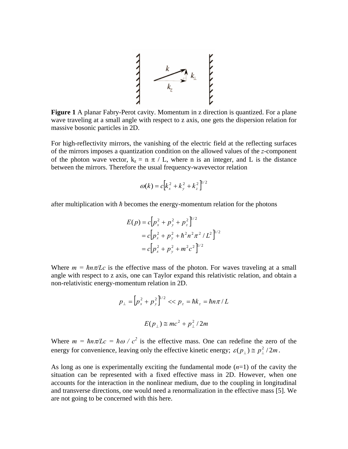

**Figure 1** A planar Fabry-Perot cavity. Momentum in z direction is quantized. For a plane wave traveling at a small angle with respect to z axis, one gets the dispersion relation for massive bosonic particles in 2D.

For high-reflectivity mirrors, the vanishing of the electric field at the reflecting surfaces of the mirrors imposes a quantization condition on the allowed values of the *z*-component of the photon wave vector,  $k_z = n \pi / L$ , where n is an integer, and L is the distance between the mirrors. Therefore the usual frequency-wavevector relation

$$
\omega(k) = c \left[ k_x^2 + k_y^2 + k_z^2 \right]^{1/2}
$$

after multiplication with *ħ* becomes the energy-momentum relation for the photons

$$
E(p) = c \Big[ p_x^2 + p_y^2 + p_z^2 \Big]^{1/2}
$$
  
=  $c \Big[ p_x^2 + p_y^2 + \hbar^2 n^2 \pi^2 / L^2 \Big]^{1/2}$   
=  $c \Big[ p_x^2 + p_y^2 + m^2 c^2 \Big]^{1/2}$ 

Where  $m = \hbar n \pi/Lc$  is the effective mass of the photon. For waves traveling at a small angle with respect to z axis, one can Taylor expand this relativistic relation, and obtain a non-relativistic energy-momentum relation in 2D.

$$
p_{\perp} = \left[ p_x^2 + p_y^2 \right]^{1/2} << p_z = \hbar k_z = \hbar n \pi / L
$$
\n
$$
E(p_{\perp}) \cong mc^2 + p_{\perp}^2 / 2m
$$

Where  $m = \hbar n \pi/Lc = \hbar \omega / c^2$  is the effective mass. One can redefine the zero of the energy for convenience, leaving only the effective kinetic energy;  $\varepsilon(p_{\perp}) \approx p_{\perp}^2 / 2m$ .

As long as one is experimentally exciting the fundamental mode (*n*=1) of the cavity the situation can be represented with a fixed effective mass in 2D. However, when one accounts for the interaction in the nonlinear medium, due to the coupling in longitudinal and transverse directions, one would need a renormalization in the effective mass [5]. We are not going to be concerned with this here.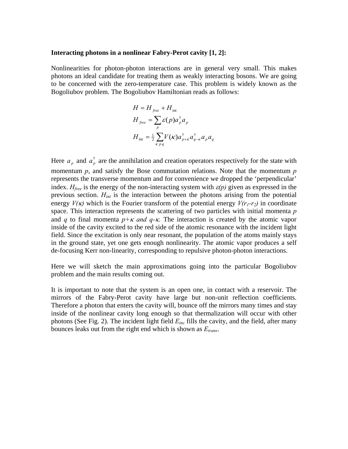#### **Interacting photons in a nonlinear Fabry-Perot cavity [1, 2]:**

Nonlinearities for photon-photon interactions are in general very small. This makes photons an ideal candidate for treating them as weakly interacting bosons. We are going to be concerned with the zero-temperature case. This problem is widely known as the Bogoliubov problem. The Bogoliubov Hamiltonian reads as follows:

$$
H = H_{free} + H_{int}
$$
  
\n
$$
H_{free} = \sum_{p} \varepsilon(p) a_p^{\dagger} a_p
$$
  
\n
$$
H_{int} = \frac{1}{2} \sum_{\kappa p q} V(\kappa) a_{p+\kappa}^{\dagger} a_{q-\kappa}^{\dagger} a_p a_q
$$

Here  $a_p$  and  $a_p^{\dagger}$  are the annihilation and creation operators respectively for the state with momentum *p*, and satisfy the Bose commutation relations. Note that the momentum *p* represents the transverse momentum and for convenience we dropped the 'perpendicular' index.  $H_{free}$  is the energy of the non-interacting system with  $\varepsilon(p)$  given as expressed in the previous section. *Hint* is the interaction between the photons arising from the potential energy  $V(\kappa)$  which is the Fourier transform of the potential energy  $V(r_1-r_2)$  in coordinate space. This interaction represents the scattering of two particles with initial momenta *p* and *q* to final momenta  $p+\kappa$  *and q-k*. The interaction is created by the atomic vapor inside of the cavity excited to the red side of the atomic resonance with the incident light field. Since the excitation is only near resonant, the population of the atoms mainly stays in the ground state, yet one gets enough nonlinearity. The atomic vapor produces a self de-focusing Kerr non-linearity, corresponding to repulsive photon-photon interactions.

Here we will sketch the main approximations going into the particular Bogoliubov problem and the main results coming out.

It is important to note that the system is an open one, in contact with a reservoir. The mirrors of the Fabry-Perot cavity have large but non-unit reflection coefficients. Therefore a photon that enters the cavity will, bounce off the mirrors many times and stay inside of the nonlinear cavity long enough so that thermalization will occur with other photons (See Fig. 2). The incident light field *Einc* fills the cavity, and the field, after many bounces leaks out from the right end which is shown as *Etrans*.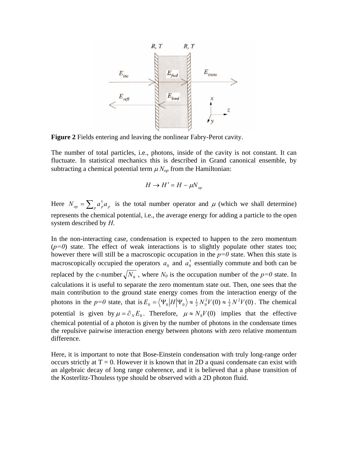

**Figure 2** Fields entering and leaving the nonlinear Fabry-Perot cavity.

The number of total particles, i.e., photons, inside of the cavity is not constant. It can fluctuate. In statistical mechanics this is described in Grand canonical ensemble, by subtracting a chemical potential term  $\mu N_{op}$  from the Hamiltonian:

$$
H \to H' = H - \mu N_{op}
$$

Here  $N_{op} = \sum_{p} a_p^{\dagger} a_p$  is the total number operator and  $\mu$  (which we shall determine) represents the chemical potential, i.e., the average energy for adding a particle to the open system described by *H*.

In the non-interacting case, condensation is expected to happen to the zero momentum  $(p=0)$  state. The effect of weak interactions is to slightly populate other states too; however there will still be a macroscopic occupation in the  $p=0$  state. When this state is macroscopically occupied the operators  $a_0$  and  $a_0^{\dagger}$  essentially commute and both can be replaced by the c-number  $\sqrt{N_0}$ , where  $N_0$  is the occupation number of the  $p=0$  state. In calculations it is useful to separate the zero momentum state out. Then, one sees that the main contribution to the ground state energy comes from the interaction energy of the photons in the  $p=0$  state, that is  $E_0 = \left\langle \Psi_0 | H | \Psi_0 \right\rangle \approx \frac{1}{2} N_0^2 V(0) \approx \frac{1}{2} N^2 V(0)$ . The chemical potential is given by  $\mu = \partial_y E_0$ . Therefore,  $\mu \approx N_0 V(0)$  implies that the effective chemical potential of a photon is given by the number of photons in the condensate times the repulsive pairwise interaction energy between photons with zero relative momentum difference.

Here, it is important to note that Bose-Einstein condensation with truly long-range order occurs strictly at  $T = 0$ . However it is known that in 2D a quasi condensate can exist with an algebraic decay of long range coherence, and it is believed that a phase transition of the Kosterlitz-Thouless type should be observed with a 2D photon fluid.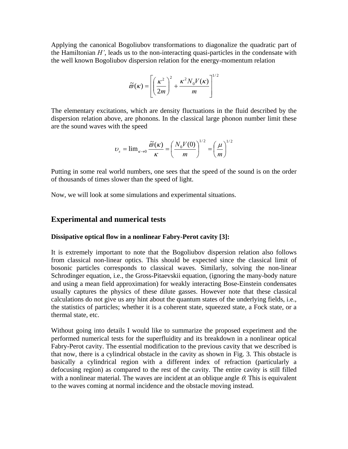Applying the canonical Bogoliubov transformations to diagonalize the quadratic part of the Hamiltonian *H'*, leads us to the non-interacting quasi-particles in the condensate with the well known Bogoliubov dispersion relation for the energy-momentum relation

$$
\widetilde{\omega}(\kappa) = \left[ \left( \frac{\kappa^2}{2m} \right)^2 + \frac{\kappa^2 N_0 V(\kappa)}{m} \right]^{1/2}
$$

The elementary excitations, which are density fluctuations in the fluid described by the dispersion relation above, are phonons. In the classical large phonon number limit these are the sound waves with the speed

$$
U_s = \lim_{\kappa \to 0} \frac{\widetilde{\varpi}(\kappa)}{\kappa} = \left(\frac{N_0 V(0)}{m}\right)^{1/2} = \left(\frac{\mu}{m}\right)^{1/2}
$$

Putting in some real world numbers, one sees that the speed of the sound is on the order of thousands of times slower than the speed of light.

Now, we will look at some simulations and experimental situations.

### **Experimental and numerical tests**

#### **Dissipative optical flow in a nonlinear Fabry-Perot cavity [3]:**

It is extremely important to note that the Bogoliubov dispersion relation also follows from classical non-linear optics. This should be expected since the classical limit of bosonic particles corresponds to classical waves. Similarly, solving the non-linear Schrodinger equation, i.e., the Gross-Pitaevskii equation, (ignoring the many-body nature and using a mean field approximation) for weakly interacting Bose-Einstein condensates usually captures the physics of these dilute gasses. However note that these classical calculations do not give us any hint about the quantum states of the underlying fields, i.e., the statistics of particles; whether it is a coherent state, squeezed state, a Fock state, or a thermal state, etc.

Without going into details I would like to summarize the proposed experiment and the performed numerical tests for the superfluidity and its breakdown in a nonlinear optical Fabry-Perot cavity. The essential modification to the previous cavity that we described is that now, there is a cylindrical obstacle in the cavity as shown in Fig. 3. This obstacle is basically a cylindrical region with a different index of refraction (particularly a defocusing region) as compared to the rest of the cavity. The entire cavity is still filled with a nonlinear material. The waves are incident at an oblique angle  $\theta$ . This is equivalent to the waves coming at normal incidence and the obstacle moving instead.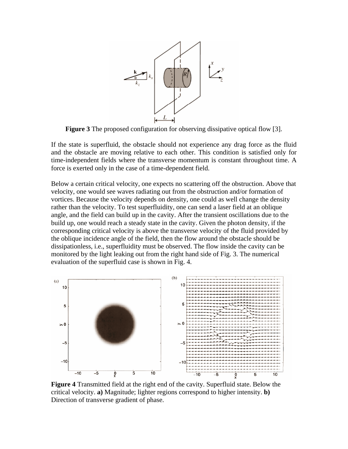

**Figure 3** The proposed configuration for observing dissipative optical flow [3].

If the state is superfluid, the obstacle should not experience any drag force as the fluid and the obstacle are moving relative to each other. This condition is satisfied only for time-independent fields where the transverse momentum is constant throughout time. A force is exerted only in the case of a time-dependent field.

Below a certain critical velocity, one expects no scattering off the obstruction. Above that velocity, one would see waves radiating out from the obstruction and/or formation of vortices. Because the velocity depends on density, one could as well change the density rather than the velocity. To test superfluidity, one can send a laser field at an oblique angle, and the field can build up in the cavity. After the transient oscillations due to the build up, one would reach a steady state in the cavity. Given the photon density, if the corresponding critical velocity is above the transverse velocity of the fluid provided by the oblique incidence angle of the field, then the flow around the obstacle should be dissipationless, i.e., superfluidity must be observed. The flow inside the cavity can be monitored by the light leaking out from the right hand side of Fig. 3. The numerical evaluation of the superfluid case is shown in Fig. 4.



**Figure 4** Transmitted field at the right end of the cavity. Superfluid state. Below the critical velocity. **a)** Magnitude; lighter regions correspond to higher intensity. **b)** Direction of transverse gradient of phase.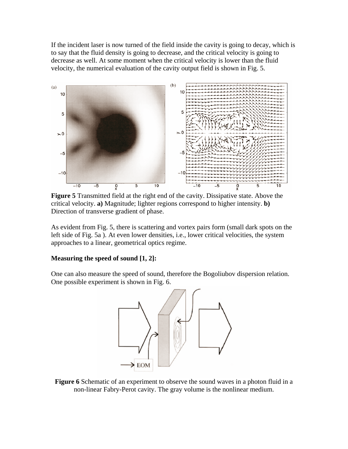If the incident laser is now turned of the field inside the cavity is going to decay, which is to say that the fluid density is going to decrease, and the critical velocity is going to decrease as well. At some moment when the critical velocity is lower than the fluid velocity, the numerical evaluation of the cavity output field is shown in Fig. 5.



**Figure 5** Transmitted field at the right end of the cavity. Dissipative state. Above the critical velocity. **a)** Magnitude; lighter regions correspond to higher intensity. **b)** Direction of transverse gradient of phase.

As evident from Fig. 5, there is scattering and vortex pairs form (small dark spots on the left side of Fig. 5a ). At even lower densities, i.e., lower critical velocities, the system approaches to a linear, geometrical optics regime.

#### **Measuring the speed of sound [1, 2]:**

One can also measure the speed of sound, therefore the Bogoliubov dispersion relation. One possible experiment is shown in Fig. 6.



**Figure 6** Schematic of an experiment to observe the sound waves in a photon fluid in a non-linear Fabry-Perot cavity. The gray volume is the nonlinear medium.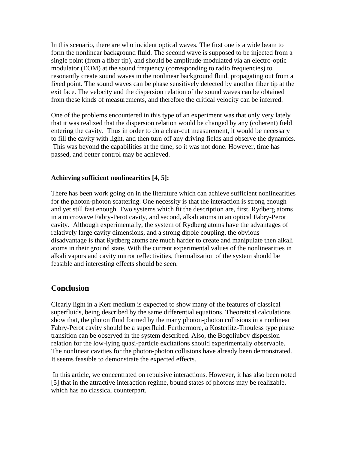In this scenario, there are who incident optical waves. The first one is a wide beam to form the nonlinear background fluid. The second wave is supposed to be injected from a single point (from a fiber tip), and should be amplitude-modulated via an electro-optic modulator (EOM) at the sound frequency (corresponding to radio frequencies) to resonantly create sound waves in the nonlinear background fluid, propagating out from a fixed point. The sound waves can be phase sensitively detected by another fiber tip at the exit face. The velocity and the dispersion relation of the sound waves can be obtained from these kinds of measurements, and therefore the critical velocity can be inferred.

One of the problems encountered in this type of an experiment was that only very lately that it was realized that the dispersion relation would be changed by any (coherent) field entering the cavity. Thus in order to do a clear-cut measurement, it would be necessary to fill the cavity with light, and then turn off any driving fields and observe the dynamics. This was beyond the capabilities at the time, so it was not done. However, time has passed, and better control may be achieved.

#### **Achieving sufficient nonlinearities [4, 5]:**

There has been work going on in the literature which can achieve sufficient nonlinearities for the photon-photon scattering. One necessity is that the interaction is strong enough and yet still fast enough. Two systems which fit the description are, first, Rydberg atoms in a microwave Fabry-Perot cavity, and second, alkali atoms in an optical Fabry-Perot cavity. Although experimentally, the system of Rydberg atoms have the advantages of relatively large cavity dimensions, and a strong dipole coupling, the obvious disadvantage is that Rydberg atoms are much harder to create and manipulate then alkali atoms in their ground state. With the current experimental values of the nonlinearities in alkali vapors and cavity mirror reflectivities, thermalization of the system should be feasible and interesting effects should be seen.

#### **Conclusion**

Clearly light in a Kerr medium is expected to show many of the features of classical superfluids, being described by the same differential equations. Theoretical calculations show that, the photon fluid formed by the many photon-photon collisions in a nonlinear Fabry-Perot cavity should be a superfluid. Furthermore, a Kosterlitz-Thouless type phase transition can be observed in the system described. Also, the Bogoliubov dispersion relation for the low-lying quasi-particle excitations should experimentally observable. The nonlinear cavities for the photon-photon collisions have already been demonstrated. It seems feasible to demonstrate the expected effects.

 In this article, we concentrated on repulsive interactions. However, it has also been noted [5] that in the attractive interaction regime, bound states of photons may be realizable, which has no classical counterpart.